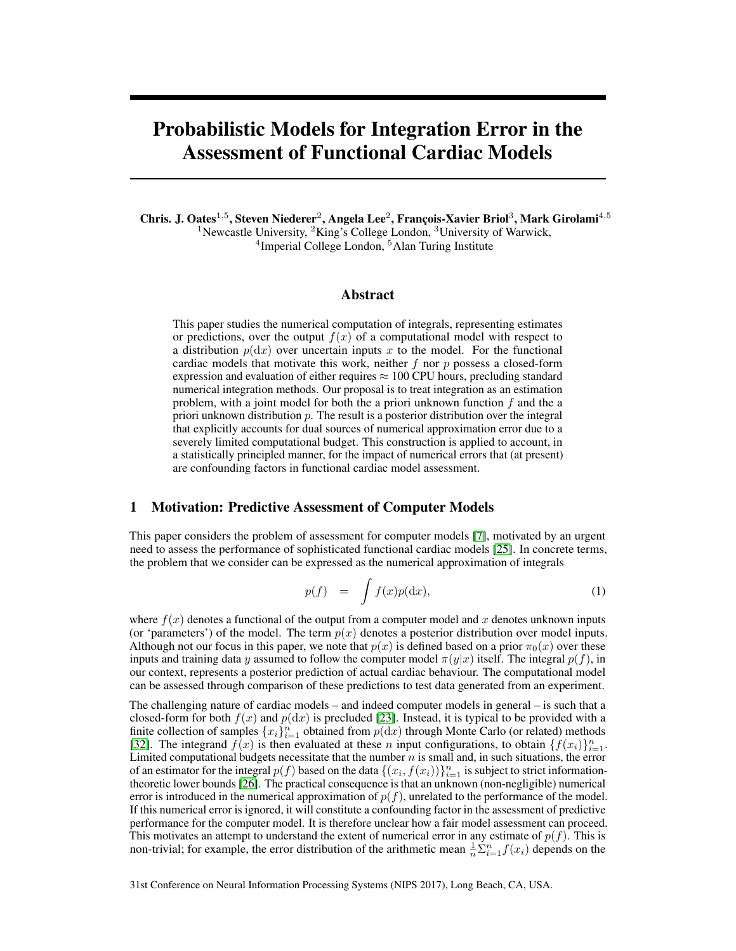# Probabilistic Models for Integration Error in the Assessment of Functional Cardiac Models

Chris. J. Oates<sup>1,5</sup>, Steven Niederer<sup>2</sup>, Angela Lee<sup>2</sup>, François-Xavier Briol<sup>3</sup>, Mark Girolami<sup>4,5</sup> <sup>1</sup>Newcastle University,  ${}^{2}$ King's College London,  ${}^{3}$ University of Warwick, <sup>4</sup>Imperial College London, <sup>5</sup>Alan Turing Institute

## Abstract

This paper studies the numerical computation of integrals, representing estimates or predictions, over the output  $f(x)$  of a computational model with respect to a distribution  $p(dx)$  over uncertain inputs x to the model. For the functional cardiac models that motivate this work, neither  $f$  nor  $p$  possess a closed-form expression and evaluation of either requires  $\approx 100$  CPU hours, precluding standard numerical integration methods. Our proposal is to treat integration as an estimation problem, with a joint model for both the a priori unknown function  $f$  and the a priori unknown distribution  $p$ . The result is a posterior distribution over the integral that explicitly accounts for dual sources of numerical approximation error due to a severely limited computational budget. This construction is applied to account, in a statistically principled manner, for the impact of numerical errors that (at present) are confounding factors in functional cardiac model assessment.

## 1 Motivation: Predictive Assessment of Computer Models

This paper considers the problem of assessment for computer models [7], motivated by an urgent need to assess the performance of sophisticated functional cardiac models [25]. In concrete terms, the problem that we consider can be expressed as the numerical approximation of integrals

$$
p(f) = \int f(x)p(\mathrm{d}x), \tag{1}
$$

where  $f(x)$  denotes a functional of the output from a computer model and x denotes unknown inputs (or 'parameters') of the model. The term  $p(x)$  denotes a posterior distribution over model inputs. Although not our focus in this paper, we note that  $p(x)$  is defined based on a prior  $\pi_0(x)$  over these inputs and training data y assumed to follow the computer model  $\pi(y|x)$  itself. The integral  $p(f)$ , in our context, represents a posterior prediction of actual cardiac behaviour. The computational model can be assessed through comparison of these predictions to test data generated from an experiment.

The challenging nature of cardiac models – and indeed computer models in general – is such that a closed-form for both  $f(x)$  and  $p(dx)$  is precluded [23]. Instead, it is typical to be provided with a finite collection of samples  $\{x_i\}_{i=1}^n$  obtained from  $p(\mathrm{d}x)$  through Monte Carlo (or related) methods [32]. The integrand  $f(x)$  is then evaluated at these n input configurations, to obtain  $\{f(x_i)\}_{i=1}^n$ . Limited computational budgets necessitate that the number  $n$  is small and, in such situations, the error of an estimator for the integral  $p(f)$  based on the data  $\{(x_i, f(x_i))\}_{i=1}^n$  is subject to strict informationtheoretic lower bounds [26]. The practical consequence is that an unknown (non-negligible) numerical error is introduced in the numerical approximation of  $p(f)$ , unrelated to the performance of the model. If this numerical error is ignored, it will constitute a confounding factor in the assessment of predictive performance for the computer model. It is therefore unclear how a fair model assessment can proceed. This motivates an attempt to understand the extent of numerical error in any estimate of  $p(f)$ . This is non-trivial; for example, the error distribution of the arithmetic mean  $\frac{1}{n} \sum_{i=1}^{n} f(x_i)$  depends on the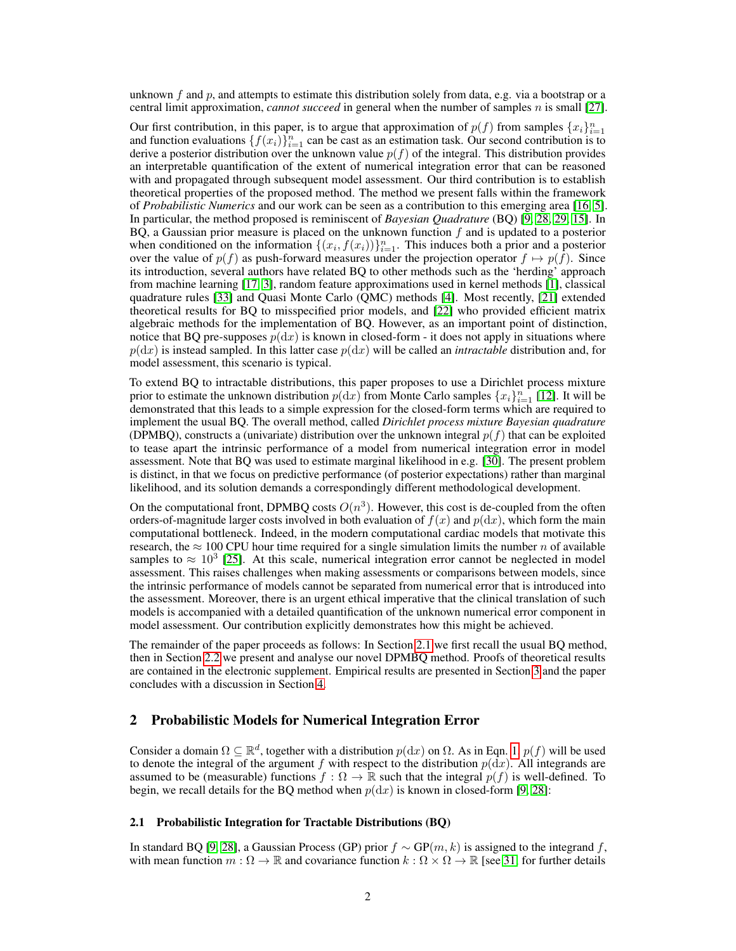unknown f and p, and attempts to estimate this distribution solely from data, e.g. via a bootstrap or a central limit approximation, *cannot succeed* in general when the number of samples  $n$  is small [27].

Our first contribution, in this paper, is to argue that approximation of  $p(f)$  from samples  $\{x_i\}_{i=1}^n$ and function evaluations  $\{f(x_i)\}_{i=1}^n$  can be cast as an estimation task. Our second contribution is to derive a posterior distribution over the unknown value  $p(f)$  of the integral. This distribution provides an interpretable quantification of the extent of numerical integration error that can be reasoned with and propagated through subsequent model assessment. Our third contribution is to establish theoretical properties of the proposed method. The method we present falls within the framework of *Probabilistic Numerics* and our work can be seen as a contribution to this emerging area [16, 5]. In particular, the method proposed is reminiscent of *Bayesian Quadrature* (BQ) [9, 28, 29, 15]. In BQ, a Gaussian prior measure is placed on the unknown function  $f$  and is updated to a posterior when conditioned on the information  $\{(x_i, f(x_i))\}_{i=1}^n$ . This induces both a prior and a posterior over the value of  $p(f)$  as push-forward measures under the projection operator  $f \mapsto p(f)$ . Since its introduction, several authors have related BQ to other methods such as the 'herding' approach from machine learning [17, 3], random feature approximations used in kernel methods [1], classical quadrature rules [33] and Quasi Monte Carlo (QMC) methods [4]. Most recently, [21] extended theoretical results for BQ to misspecified prior models, and [22] who provided efficient matrix algebraic methods for the implementation of BQ. However, as an important point of distinction, notice that BQ pre-supposes  $p(dx)$  is known in closed-form - it does not apply in situations where  $p(\text{d}x)$  is instead sampled. In this latter case  $p(\text{d}x)$  will be called an *intractable* distribution and, for model assessment, this scenario is typical.

To extend BQ to intractable distributions, this paper proposes to use a Dirichlet process mixture prior to estimate the unknown distribution  $p(\mathrm{d}x)$  from Monte Carlo samples  $\{x_i\}_{i=1}^n$  [12]. It will be demonstrated that this leads to a simple expression for the closed-form terms which are required to implement the usual BQ. The overall method, called *Dirichlet process mixture Bayesian quadrature* (DPMBQ), constructs a (univariate) distribution over the unknown integral  $p(f)$  that can be exploited to tease apart the intrinsic performance of a model from numerical integration error in model assessment. Note that BQ was used to estimate marginal likelihood in e.g. [30]. The present problem is distinct, in that we focus on predictive performance (of posterior expectations) rather than marginal likelihood, and its solution demands a correspondingly different methodological development.

On the computational front, DPMBQ costs  $O(n^3)$ . However, this cost is de-coupled from the often orders-of-magnitude larger costs involved in both evaluation of  $f(x)$  and  $p(dx)$ , which form the main computational bottleneck. Indeed, in the modern computational cardiac models that motivate this research, the  $\approx 100$  CPU hour time required for a single simulation limits the number n of available samples to  $\approx 10^3$  [25]. At this scale, numerical integration error cannot be neglected in model assessment. This raises challenges when making assessments or comparisons between models, since the intrinsic performance of models cannot be separated from numerical error that is introduced into the assessment. Moreover, there is an urgent ethical imperative that the clinical translation of such models is accompanied with a detailed quantification of the unknown numerical error component in model assessment. Our contribution explicitly demonstrates how this might be achieved.

The remainder of the paper proceeds as follows: In Section 2.1 we first recall the usual BQ method, then in Section 2.2 we present and analyse our novel DPMBQ method. Proofs of theoretical results are contained in the electronic supplement. Empirical results are presented in Section 3 and the paper concludes with a discussion in Section 4.

## 2 Probabilistic Models for Numerical Integration Error

Consider a domain  $\Omega \subseteq \mathbb{R}^d$ , together with a distribution  $p(\mathrm{d}x)$  on  $\Omega$ . As in Eqn. 1,  $p(f)$  will be used to denote the integral of the argument f with respect to the distribution  $p(dx)$ . All integrands are assumed to be (measurable) functions  $f : \Omega \to \mathbb{R}$  such that the integral  $p(f)$  is well-defined. To begin, we recall details for the BQ method when  $p(dx)$  is known in closed-form [9, 28]:

### 2.1 Probabilistic Integration for Tractable Distributions (BQ)

In standard BQ [9, 28], a Gaussian Process (GP) prior  $f \sim GP(m, k)$  is assigned to the integrand f, with mean function  $m : \Omega \to \mathbb{R}$  and covariance function  $k : \Omega \times \Omega \to \mathbb{R}$  [see 31, for further details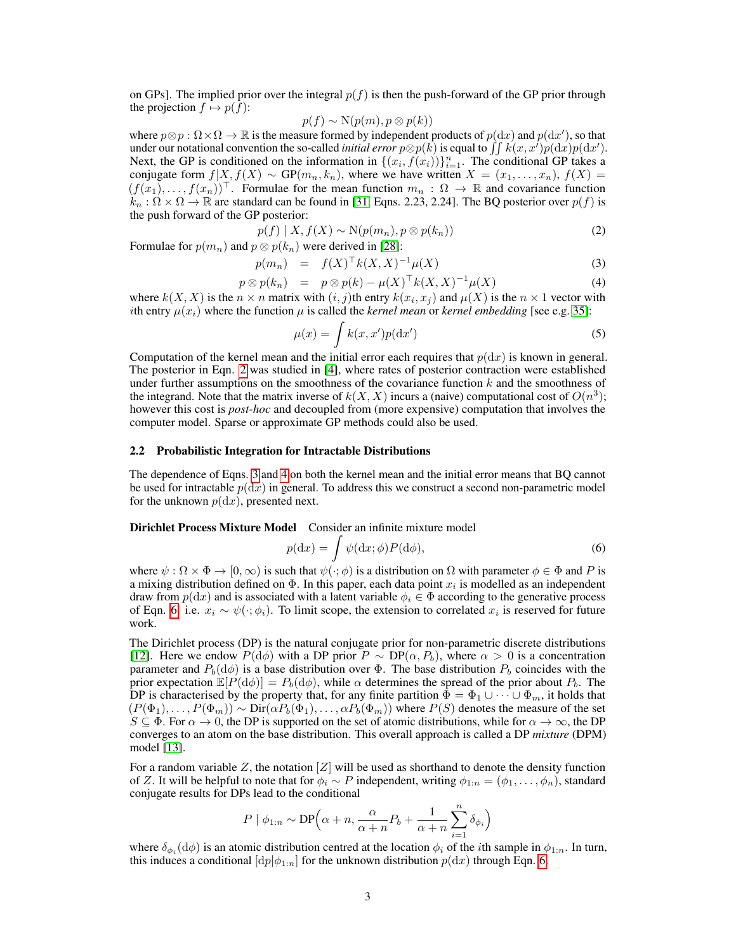on GPs]. The implied prior over the integral  $p(f)$  is then the push-forward of the GP prior through the projection  $f \mapsto p(f)$ :

$$
p(f) \sim \mathcal{N}(p(m), p \otimes p(k))
$$

where  $p \otimes p : \Omega \times \Omega \to \mathbb{R}$  is the measure formed by independent products of  $p(\mathrm{d}x)$  and  $p(\mathrm{d}x')$ , so that under our notational convention the so-called *initial error*  $p \otimes p(k)$  is equal to  $\iint k(x, x')p(\mathrm{d}x)p(\mathrm{d}x')$ . Next, the GP is conditioned on the information in  $\{(x_i, f(x_i))\}_{i=1}^n$ . The conditional GP takes a conjugate form  $f|X, f(X) \sim GP(m_n, k_n)$ , where we have written  $X = (x_1, \ldots, x_n)$ ,  $f(X) =$  $(f(x_1),..., f(x_n))^{\top}$ . Formulae for the mean function  $m_n : \Omega \to \mathbb{R}$  and covariance function  $k_n : \Omega \times \Omega \to \mathbb{R}$  are standard can be found in [31, Eqns. 2.23, 2.24]. The BQ posterior over  $p(f)$  is the push forward of the GP posterior:

$$
p(f) | X, f(X) \sim \mathcal{N}(p(m_n), p \otimes p(k_n))
$$
\n(2)

Formulae for  $p(m_n)$  and  $p \otimes p(k_n)$  were derived in [28]:

$$
p(m_n) = f(X)^{\top} k(X, X)^{-1} \mu(X)
$$
\n(3)

$$
p \otimes p(k_n) = p \otimes p(k) - \mu(X)^\top k(X,X)^{-1} \mu(X) \tag{4}
$$

where  $k(X, X)$  is the  $n \times n$  matrix with  $(i, j)$ th entry  $k(x_i, x_j)$  and  $\mu(X)$  is the  $n \times 1$  vector with ith entry  $\mu(x_i)$  where the function  $\mu$  is called the *kernel mean* or *kernel embedding* [see e.g. 35]:

$$
\mu(x) = \int k(x, x')p(\mathrm{d}x')\tag{5}
$$

Computation of the kernel mean and the initial error each requires that  $p(dx)$  is known in general. The posterior in Eqn. 2 was studied in [4], where rates of posterior contraction were established under further assumptions on the smoothness of the covariance function  $k$  and the smoothness of the integrand. Note that the matrix inverse of  $k(X, X)$  incurs a (naive) computational cost of  $O(n^3)$ ; however this cost is *post-hoc* and decoupled from (more expensive) computation that involves the computer model. Sparse or approximate GP methods could also be used.

#### 2.2 Probabilistic Integration for Intractable Distributions

The dependence of Eqns. 3 and 4 on both the kernel mean and the initial error means that BQ cannot be used for intractable  $p(dx)$  in general. To address this we construct a second non-parametric model for the unknown  $p(dx)$ , presented next.

Dirichlet Process Mixture Model Consider an infinite mixture model

$$
p(\mathrm{d}x) = \int \psi(\mathrm{d}x; \phi) P(\mathrm{d}\phi),\tag{6}
$$

where  $\psi : \Omega \times \Phi \to [0, \infty)$  is such that  $\psi(\cdot; \phi)$  is a distribution on  $\Omega$  with parameter  $\phi \in \Phi$  and P is a mixing distribution defined on  $\Phi$ . In this paper, each data point  $x_i$  is modelled as an independent draw from  $p(\mathrm{d}x)$  and is associated with a latent variable  $\phi_i \in \Phi$  according to the generative process of Eqn. 6. i.e.  $x_i \sim \psi(\cdot; \phi_i)$ . To limit scope, the extension to correlated  $x_i$  is reserved for future work.

The Dirichlet process (DP) is the natural conjugate prior for non-parametric discrete distributions [12]. Here we endow  $P(d\phi)$  with a DP prior  $P \sim DP(\alpha, P_b)$ , where  $\alpha > 0$  is a concentration parameter and  $P_b(d\phi)$  is a base distribution over  $\Phi$ . The base distribution  $P_b$  coincides with the prior expectation  $\mathbb{E}[P(\mathrm{d}\phi)] = P_b(\mathrm{d}\phi)$ , while  $\alpha$  determines the spread of the prior about  $P_b$ . The DP is characterised by the property that, for any finite partition  $\Phi = \Phi_1 \cup \cdots \cup \Phi_m$ , it holds that  $(P(\Phi_1), \ldots, P(\Phi_m)) \sim \text{Dir}(\alpha P_b(\Phi_1), \ldots, \alpha P_b(\Phi_m))$  where  $P(S)$  denotes the measure of the set  $S \subseteq \Phi$ . For  $\alpha \to 0$ , the DP is supported on the set of atomic distributions, while for  $\alpha \to \infty$ , the DP converges to an atom on the base distribution. This overall approach is called a DP *mixture* (DPM) model [13].

For a random variable Z, the notation  $[Z]$  will be used as shorthand to denote the density function of Z. It will be helpful to note that for  $\phi_i \sim P$  independent, writing  $\phi_{1:n} = (\phi_1, \dots, \phi_n)$ , standard conjugate results for DPs lead to the conditional

$$
P | \phi_{1:n} \sim \text{DP}\Big(\alpha + n, \frac{\alpha}{\alpha + n}P_b + \frac{1}{\alpha + n}\sum_{i=1}^n \delta_{\phi_i}\Big)
$$

where  $\delta_{\phi_i}(\text{d}\phi)$  is an atomic distribution centred at the location  $\phi_i$  of the *i*th sample in  $\phi_{1:n}$ . In turn, this induces a conditional  $\left[dp\right|\phi_{1:n}\right]$  for the unknown distribution  $p(dx)$  through Eqn. 6.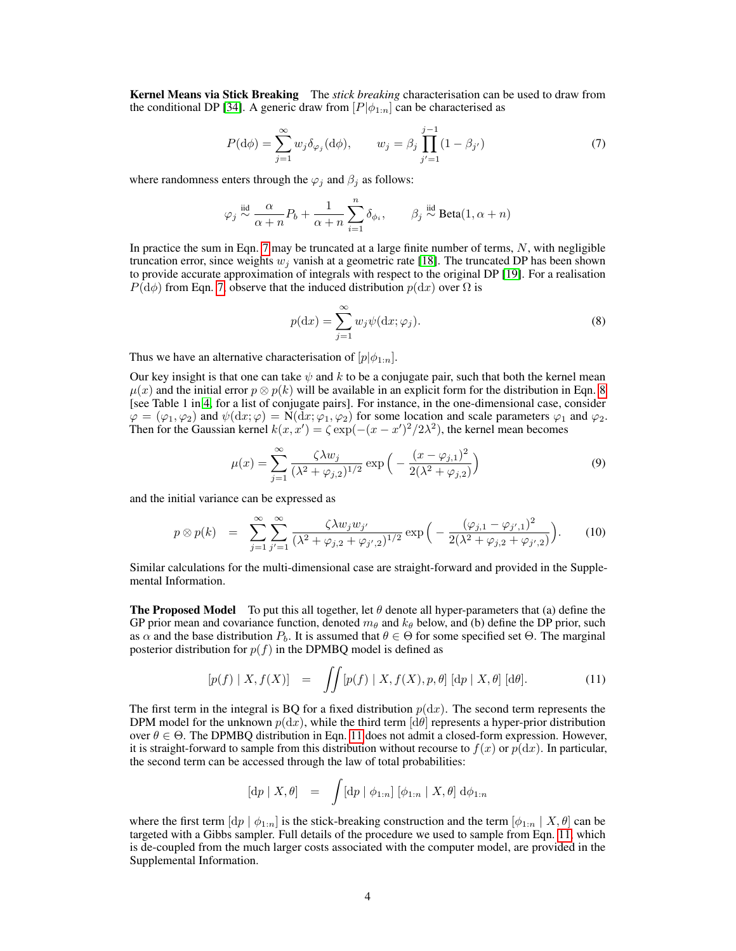Kernel Means via Stick Breaking The *stick breaking* characterisation can be used to draw from the conditional DP [34]. A generic draw from  $[P|\phi_{1:n}]$  can be characterised as

$$
P(\mathrm{d}\phi) = \sum_{j=1}^{\infty} w_j \delta_{\varphi_j}(\mathrm{d}\phi), \qquad w_j = \beta_j \prod_{j'=1}^{j-1} (1 - \beta_{j'}) \tag{7}
$$

where randomness enters through the  $\varphi_i$  and  $\beta_i$  as follows:

$$
\varphi_j \overset{\text{iid}}{\sim} \frac{\alpha}{\alpha+n} P_b + \frac{1}{\alpha+n} \sum_{i=1}^n \delta_{\phi_i}, \qquad \beta_j \overset{\text{iid}}{\sim} \mathrm{Beta}(1,\alpha+n)
$$

In practice the sum in Eqn. 7 may be truncated at a large finite number of terms,  $N$ , with negligible truncation error, since weights  $w_i$  vanish at a geometric rate [18]. The truncated DP has been shown to provide accurate approximation of integrals with respect to the original DP [19]. For a realisation  $P(\mathrm{d}\phi)$  from Eqn. 7, observe that the induced distribution  $p(\mathrm{d}x)$  over  $\Omega$  is

$$
p(\mathrm{d}x) = \sum_{j=1}^{\infty} w_j \psi(\mathrm{d}x; \varphi_j). \tag{8}
$$

Thus we have an alternative characterisation of  $[p] \phi_{1:n}$ .

Our key insight is that one can take  $\psi$  and k to be a conjugate pair, such that both the kernel mean  $\mu(x)$  and the initial error  $p \otimes p(k)$  will be available in an explicit form for the distribution in Eqn. 8 [see Table 1 in 4, for a list of conjugate pairs]. For instance, in the one-dimensional case, consider  $\varphi = (\varphi_1, \varphi_2)$  and  $\psi(\mathrm{d}x; \varphi) = \mathcal{N}(\mathrm{d}x; \varphi_1, \varphi_2)$  for some location and scale parameters  $\varphi_1$  and  $\varphi_2$ . Then for the Gaussian kernel  $k(x, x') = \zeta \exp(-(x - x')^2/2\lambda^2)$ , the kernel mean becomes

$$
\mu(x) = \sum_{j=1}^{\infty} \frac{\zeta \lambda w_j}{(\lambda^2 + \varphi_{j,2})^{1/2}} \exp\left(-\frac{(x - \varphi_{j,1})^2}{2(\lambda^2 + \varphi_{j,2})}\right)
$$
(9)

and the initial variance can be expressed as

$$
p \otimes p(k) = \sum_{j=1}^{\infty} \sum_{j'=1}^{\infty} \frac{\zeta \lambda w_j w_{j'}}{(\lambda^2 + \varphi_{j,2} + \varphi_{j',2})^{1/2}} \exp\Big(-\frac{(\varphi_{j,1} - \varphi_{j',1})^2}{2(\lambda^2 + \varphi_{j,2} + \varphi_{j',2})}\Big). \tag{10}
$$

Similar calculations for the multi-dimensional case are straight-forward and provided in the Supplemental Information.

**The Proposed Model** To put this all together, let  $\theta$  denote all hyper-parameters that (a) define the GP prior mean and covariance function, denoted  $m_\theta$  and  $k_\theta$  below, and (b) define the DP prior, such as  $\alpha$  and the base distribution  $P_b$ . It is assumed that  $\theta \in \Theta$  for some specified set  $\Theta$ . The marginal posterior distribution for  $p(f)$  in the DPMBQ model is defined as

$$
[p(f) | X, f(X)] = \iint [p(f) | X, f(X), p, \theta] [dp | X, \theta] [d\theta]. \tag{11}
$$

The first term in the integral is BQ for a fixed distribution  $p(dx)$ . The second term represents the DPM model for the unknown  $p(\text{d}x)$ , while the third term  $\text{d}\theta$  represents a hyper-prior distribution over  $\theta \in \Theta$ . The DPMBQ distribution in Eqn. 11 does not admit a closed-form expression. However, it is straight-forward to sample from this distribution without recourse to  $f(x)$  or  $p(dx)$ . In particular, the second term can be accessed through the law of total probabilities:

$$
[dp | X, \theta] = \int [dp | \phi_{1:n}] [\phi_{1:n} | X, \theta] d\phi_{1:n}
$$

where the first term  $\left[\mathrm{d}p \mid \phi_{1:n}\right]$  is the stick-breaking construction and the term  $\left[\phi_{1:n} \mid X, \theta\right]$  can be targeted with a Gibbs sampler. Full details of the procedure we used to sample from Eqn. 11, which is de-coupled from the much larger costs associated with the computer model, are provided in the Supplemental Information.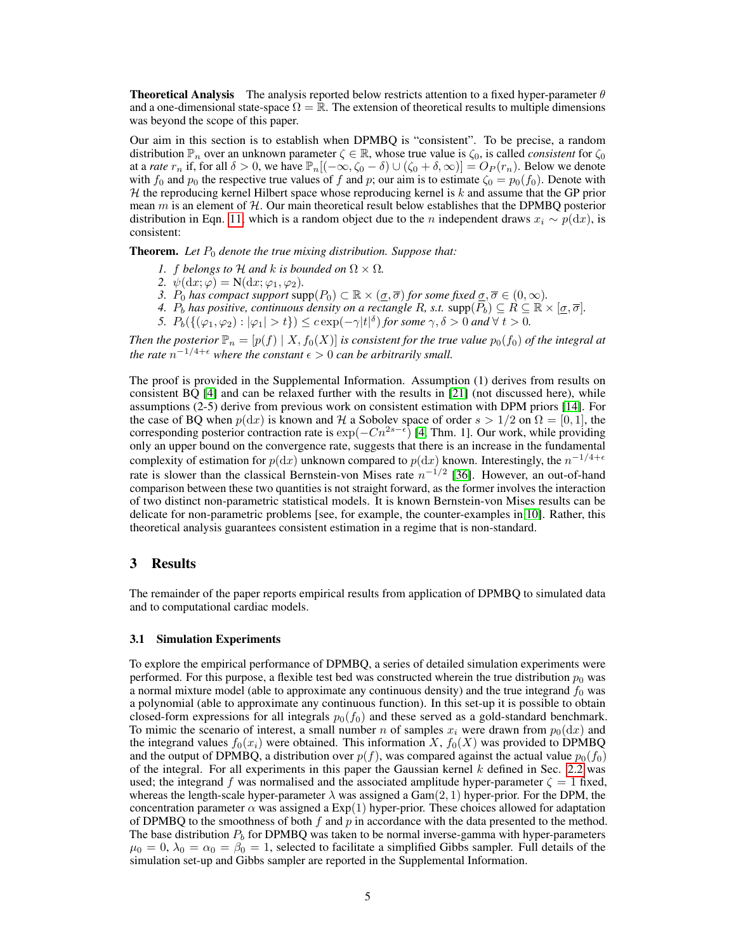**Theoretical Analysis** The analysis reported below restricts attention to a fixed hyper-parameter  $\theta$ and a one-dimensional state-space  $\Omega = \mathbb{R}$ . The extension of theoretical results to multiple dimensions was beyond the scope of this paper.

Our aim in this section is to establish when DPMBQ is "consistent". To be precise, a random distribution  $\mathbb{P}_n$  over an unknown parameter  $\zeta \in \mathbb{R}$ , whose true value is  $\zeta_0$ , is called *consistent* for  $\zeta_0$ at a *rate*  $r_n$  if, for all  $\delta > 0$ , we have  $\mathbb{P}_n[(-\infty, \zeta_0 - \delta) \cup (\zeta_0 + \delta, \infty)] = O_P(r_n)$ . Below we denote with  $f_0$  and  $p_0$  the respective true values of f and p; our aim is to estimate  $\zeta_0 = p_0(f_0)$ . Denote with  $H$  the reproducing kernel Hilbert space whose reproducing kernel is  $k$  and assume that the GP prior mean  $m$  is an element of  $H$ . Our main theoretical result below establishes that the DPMBQ posterior distribution in Eqn. 11, which is a random object due to the *n* independent draws  $x_i \sim p(\mathrm{d}x)$ , is consistent:

**Theorem.** Let  $P_0$  denote the true mixing distribution. Suppose that:

- *1.* f belongs to H and k is bounded on  $\Omega \times \Omega$ .
- 2.  $\psi(\mathrm{d}x;\varphi) = \mathcal{N}(\mathrm{d}x;\varphi_1,\varphi_2)$ *.*
- *3.*  $P_0$  *has compact support* supp $(P_0) \subset \mathbb{R} \times (\underline{\sigma}, \overline{\sigma})$  *for some fixed*  $\underline{\sigma}, \overline{\sigma} \in (0, \infty)$ *.*
- *4.*  $P_b$  has positive, continuous density on a rectangle R, s.t.  $\text{supp}(\overline{P_b}) \subseteq R \subseteq \mathbb{R} \times [\underline{\sigma}, \overline{\sigma}]$ .
- 5.  $P_b(\{(\varphi_1, \varphi_2) : |\varphi_1| > t\}) \leq c \exp(-\gamma|t|^{\delta})$  *for some*  $\gamma, \delta > 0$  *and*  $\forall t > 0$ *.*

*Then the posterior*  $\mathbb{P}_n = [p(f) | X, f_0(X)]$  *is consistent for the true value*  $p_0(f_0)$  *of the integral at the rate*  $n^{-1/4+\epsilon}$  where the constant  $\epsilon > 0$  can be arbitrarily small.

The proof is provided in the Supplemental Information. Assumption (1) derives from results on consistent BQ [4] and can be relaxed further with the results in [21] (not discussed here), while assumptions (2-5) derive from previous work on consistent estimation with DPM priors [14]. For the case of BQ when  $p(\mathrm{d}x)$  is known and H a Sobolev space of order  $s > 1/2$  on  $\Omega = [0, 1]$ , the corresponding posterior contraction rate is  $\exp(-Cn^{2s-\epsilon})$  [4, Thm. 1]. Our work, while providing only an upper bound on the convergence rate, suggests that there is an increase in the fundamental complexity of estimation for  $p(\mathrm{d}x)$  unknown compared to  $p(\mathrm{d}x)$  known. Interestingly, the  $n^{-1/4+\epsilon}$ rate is slower than the classical Bernstein-von Mises rate  $n^{-1/2}$  [36]. However, an out-of-hand comparison between these two quantities is not straight forward, as the former involves the interaction of two distinct non-parametric statistical models. It is known Bernstein-von Mises results can be delicate for non-parametric problems [see, for example, the counter-examples in 10]. Rather, this theoretical analysis guarantees consistent estimation in a regime that is non-standard.

## 3 Results

The remainder of the paper reports empirical results from application of DPMBQ to simulated data and to computational cardiac models.

#### 3.1 Simulation Experiments

To explore the empirical performance of DPMBQ, a series of detailed simulation experiments were performed. For this purpose, a flexible test bed was constructed wherein the true distribution  $p_0$  was a normal mixture model (able to approximate any continuous density) and the true integrand  $f_0$  was a polynomial (able to approximate any continuous function). In this set-up it is possible to obtain closed-form expressions for all integrals  $p_0(f_0)$  and these served as a gold-standard benchmark. To mimic the scenario of interest, a small number n of samples  $x_i$  were drawn from  $p_0(dx)$  and the integrand values  $f_0(x_i)$  were obtained. This information X,  $f_0(X)$  was provided to DPMBQ and the output of DPMBQ, a distribution over  $p(f)$ , was compared against the actual value  $p_0(f_0)$ of the integral. For all experiments in this paper the Gaussian kernel  $k$  defined in Sec. 2.2 was used; the integrand f was normalised and the associated amplitude hyper-parameter  $\zeta = 1$  fixed, whereas the length-scale hyper-parameter  $\lambda$  was assigned a Gam $(2, 1)$  hyper-prior. For the DPM, the concentration parameter  $\alpha$  was assigned a Exp(1) hyper-prior. These choices allowed for adaptation of DPMBQ to the smoothness of both f and p in accordance with the data presented to the method. The base distribution  $P_b$  for DPMBQ was taken to be normal inverse-gamma with hyper-parameters  $\mu_0 = 0$ ,  $\lambda_0 = \alpha_0 = \beta_0 = 1$ , selected to facilitate a simplified Gibbs sampler. Full details of the simulation set-up and Gibbs sampler are reported in the Supplemental Information.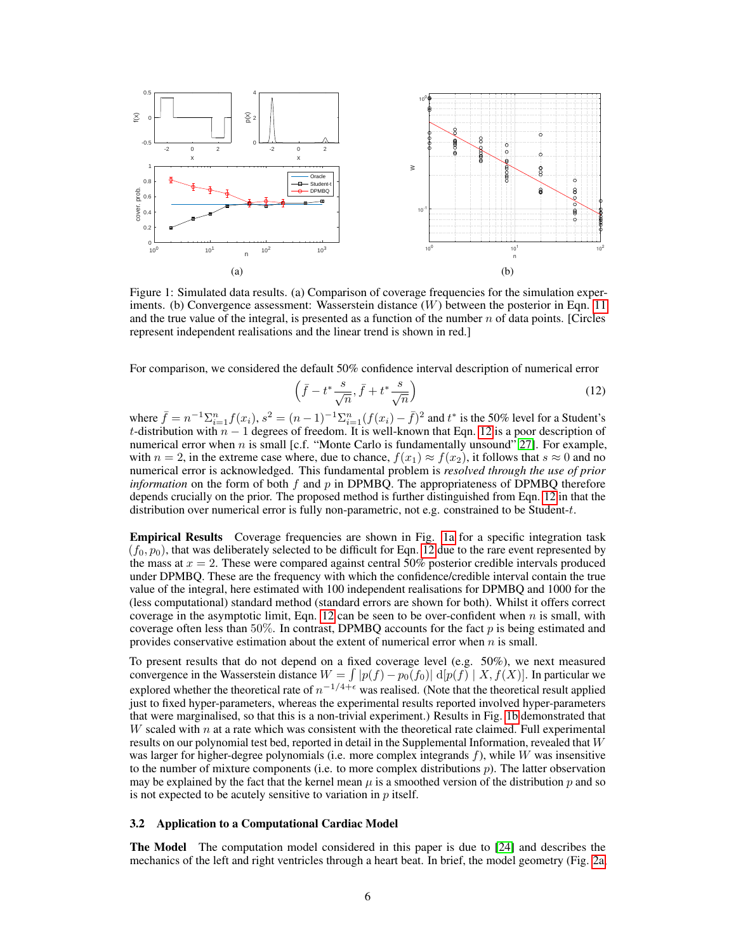

Figure 1: Simulated data results. (a) Comparison of coverage frequencies for the simulation experiments. (b) Convergence assessment: Wasserstein distance  $(W)$  between the posterior in Eqn. 11 and the true value of the integral, is presented as a function of the number  $n$  of data points. [Circles] represent independent realisations and the linear trend is shown in red.]

For comparison, we considered the default 50% confidence interval description of numerical error

$$
\left(\bar{f} - t^* \frac{s}{\sqrt{n}}, \bar{f} + t^* \frac{s}{\sqrt{n}}\right) \tag{12}
$$

where  $\bar{f} = n^{-1} \sum_{i=1}^n f(x_i)$ ,  $s^2 = (n-1)^{-1} \sum_{i=1}^n (f(x_i) - \bar{f})^2$  and  $t^*$  is the 50% level for a Student's t-distribution with  $n-1$  degrees of freedom. It is well-known that Eqn. 12 is a poor description of numerical error when n is small [c.f. "Monte Carlo is fundamentally unsound" 27]. For example, with  $n = 2$ , in the extreme case where, due to chance,  $f(x_1) \approx f(x_2)$ , it follows that  $s \approx 0$  and no numerical error is acknowledged. This fundamental problem is *resolved through the use of prior information* on the form of both f and p in DPMBQ. The appropriateness of DPMBQ therefore depends crucially on the prior. The proposed method is further distinguished from Eqn. 12 in that the distribution over numerical error is fully non-parametric, not e.g. constrained to be Student-t.

Empirical Results Coverage frequencies are shown in Fig. 1a for a specific integration task  $(f_0, p_0)$ , that was deliberately selected to be difficult for Eqn. 12 due to the rare event represented by the mass at  $x = 2$ . These were compared against central 50% posterior credible intervals produced under DPMBQ. These are the frequency with which the confidence/credible interval contain the true value of the integral, here estimated with 100 independent realisations for DPMBQ and 1000 for the (less computational) standard method (standard errors are shown for both). Whilst it offers correct coverage in the asymptotic limit, Eqn. 12 can be seen to be over-confident when  $n$  is small, with coverage often less than 50%. In contrast, DPMBQ accounts for the fact  $p$  is being estimated and provides conservative estimation about the extent of numerical error when  $n$  is small.

To present results that do not depend on a fixed coverage level (e.g. 50%), we next measured convergence in the Wasserstein distance  $W = \int |p(f) - p_0(f_0)| \, d[p(f)] \mid X, f(X)]$ . In particular we explored whether the theoretical rate of  $n^{-1/4+\epsilon}$  was realised. (Note that the theoretical result applied just to fixed hyper-parameters, whereas the experimental results reported involved hyper-parameters that were marginalised, so that this is a non-trivial experiment.) Results in Fig. 1b demonstrated that W scaled with  $n$  at a rate which was consistent with the theoretical rate claimed. Full experimental results on our polynomial test bed, reported in detail in the Supplemental Information, revealed that W was larger for higher-degree polynomials (i.e. more complex integrands  $f$ ), while W was insensitive to the number of mixture components (i.e. to more complex distributions  $p$ ). The latter observation may be explained by the fact that the kernel mean  $\mu$  is a smoothed version of the distribution p and so is not expected to be acutely sensitive to variation in  $p$  itself.

### 3.2 Application to a Computational Cardiac Model

The Model The computation model considered in this paper is due to [24] and describes the mechanics of the left and right ventricles through a heart beat. In brief, the model geometry (Fig. 2a,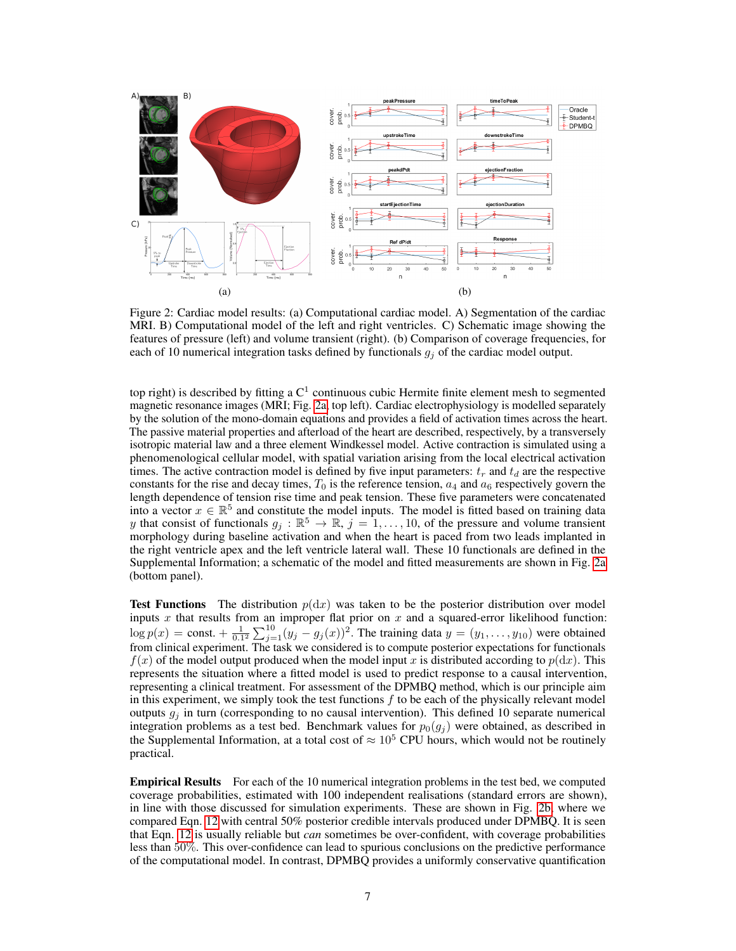

Figure 2: Cardiac model results: (a) Computational cardiac model. A) Segmentation of the cardiac MRI. B) Computational model of the left and right ventricles. C) Schematic image showing the features of pressure (left) and volume transient (right). (b) Comparison of coverage frequencies, for each of 10 numerical integration tasks defined by functionals  $g_j$  of the cardiac model output.

top right) is described by fitting a  $C^1$  continuous cubic Hermite finite element mesh to segmented magnetic resonance images (MRI; Fig. 2a, top left). Cardiac electrophysiology is modelled separately by the solution of the mono-domain equations and provides a field of activation times across the heart. The passive material properties and afterload of the heart are described, respectively, by a transversely isotropic material law and a three element Windkessel model. Active contraction is simulated using a phenomenological cellular model, with spatial variation arising from the local electrical activation times. The active contraction model is defined by five input parameters:  $t_r$  and  $t_d$  are the respective constants for the rise and decay times,  $T_0$  is the reference tension,  $a_4$  and  $a_6$  respectively govern the length dependence of tension rise time and peak tension. These five parameters were concatenated into a vector  $x \in \mathbb{R}^5$  and constitute the model inputs. The model is fitted based on training data y that consist of functionals  $g_j : \mathbb{R}^5 \to \mathbb{R}$ ,  $j = 1, \ldots, 10$ , of the pressure and volume transient morphology during baseline activation and when the heart is paced from two leads implanted in the right ventricle apex and the left ventricle lateral wall. These 10 functionals are defined in the Supplemental Information; a schematic of the model and fitted measurements are shown in Fig. 2a (bottom panel).

**Test Functions** The distribution  $p(dx)$  was taken to be the posterior distribution over model inputs  $x$  that results from an improper flat prior on  $x$  and a squared-error likelihood function:  $\log p(x) = \text{const.} + \frac{1}{0.1^2} \sum_{j=1}^{10} (y_j - g_j(x))^2$ . The training data  $y = (y_1, \dots, y_{10})$  were obtained from clinical experiment. The task we considered is to compute posterior expectations for functionals  $f(x)$  of the model output produced when the model input x is distributed according to  $p(dx)$ . This represents the situation where a fitted model is used to predict response to a causal intervention, representing a clinical treatment. For assessment of the DPMBQ method, which is our principle aim in this experiment, we simply took the test functions  $f$  to be each of the physically relevant model outputs  $g_i$  in turn (corresponding to no causal intervention). This defined 10 separate numerical integration problems as a test bed. Benchmark values for  $p_0(g_i)$  were obtained, as described in the Supplemental Information, at a total cost of  $\approx 10^5$  CPU hours, which would not be routinely practical.

**Empirical Results** For each of the 10 numerical integration problems in the test bed, we computed coverage probabilities, estimated with 100 independent realisations (standard errors are shown), in line with those discussed for simulation experiments. These are shown in Fig. 2b, where we compared Eqn. 12 with central 50% posterior credible intervals produced under DPMBQ. It is seen that Eqn. 12 is usually reliable but *can* sometimes be over-confident, with coverage probabilities less than 50%. This over-confidence can lead to spurious conclusions on the predictive performance of the computational model. In contrast, DPMBQ provides a uniformly conservative quantification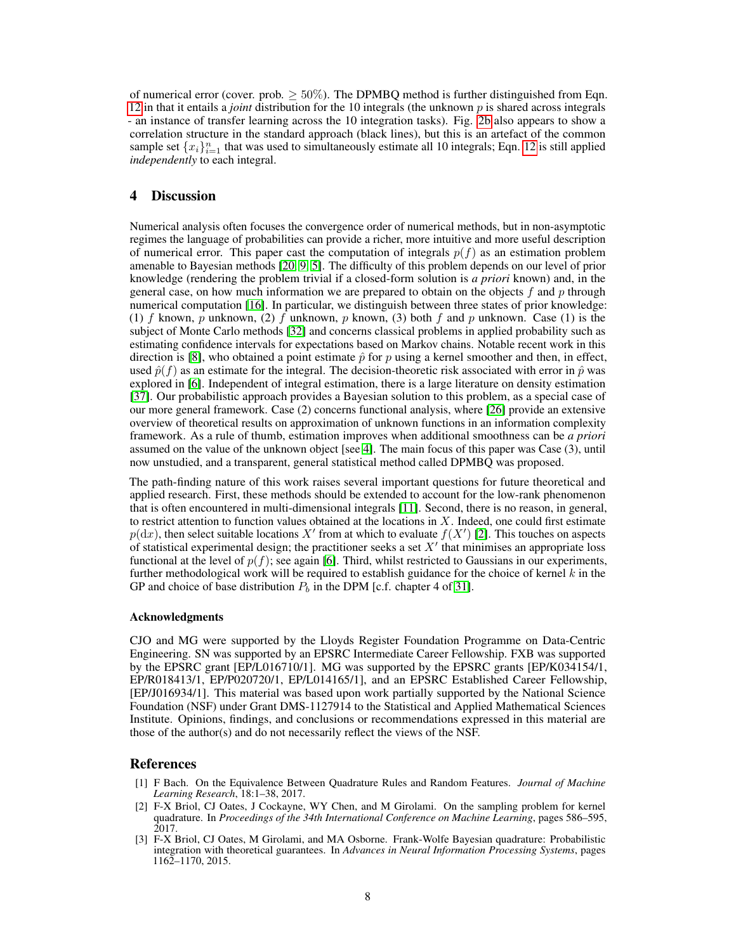of numerical error (cover. prob.  $> 50\%$ ). The DPMBO method is further distinguished from Eqn. 12 in that it entails a *joint* distribution for the 10 integrals (the unknown p is shared across integrals - an instance of transfer learning across the 10 integration tasks). Fig. 2b also appears to show a correlation structure in the standard approach (black lines), but this is an artefact of the common sample set  $\{x_i\}_{i=1}^n$  that was used to simultaneously estimate all 10 integrals; Eqn. 12 is still applied *independently* to each integral.

## 4 Discussion

Numerical analysis often focuses the convergence order of numerical methods, but in non-asymptotic regimes the language of probabilities can provide a richer, more intuitive and more useful description of numerical error. This paper cast the computation of integrals  $p(f)$  as an estimation problem amenable to Bayesian methods [20, 9, 5]. The difficulty of this problem depends on our level of prior knowledge (rendering the problem trivial if a closed-form solution is *a priori* known) and, in the general case, on how much information we are prepared to obtain on the objects  $f$  and  $p$  through numerical computation [16]. In particular, we distinguish between three states of prior knowledge: (1) f known, p unknown, (2) f unknown, p known, (3) both f and p unknown. Case (1) is the subject of Monte Carlo methods [32] and concerns classical problems in applied probability such as estimating confidence intervals for expectations based on Markov chains. Notable recent work in this direction is [8], who obtained a point estimate  $\hat{p}$  for p using a kernel smoother and then, in effect, used  $\hat{p}(f)$  as an estimate for the integral. The decision-theoretic risk associated with error in  $\hat{p}$  was explored in [6]. Independent of integral estimation, there is a large literature on density estimation [37]. Our probabilistic approach provides a Bayesian solution to this problem, as a special case of our more general framework. Case (2) concerns functional analysis, where [26] provide an extensive overview of theoretical results on approximation of unknown functions in an information complexity framework. As a rule of thumb, estimation improves when additional smoothness can be *a priori* assumed on the value of the unknown object [see 4]. The main focus of this paper was Case (3), until now unstudied, and a transparent, general statistical method called DPMBQ was proposed.

The path-finding nature of this work raises several important questions for future theoretical and applied research. First, these methods should be extended to account for the low-rank phenomenon that is often encountered in multi-dimensional integrals [11]. Second, there is no reason, in general, to restrict attention to function values obtained at the locations in  $X$ . Indeed, one could first estimate  $p(dx)$ , then select suitable locations X' from at which to evaluate  $f(X')$  [2]. This touches on aspects of statistical experimental design; the practitioner seeks a set  $X'$  that minimises an appropriate loss functional at the level of  $p(f)$ ; see again [6]. Third, whilst restricted to Gaussians in our experiments, further methodological work will be required to establish guidance for the choice of kernel  $k$  in the GP and choice of base distribution  $P_b$  in the DPM [c.f. chapter 4 of 31].

#### Acknowledgments

CJO and MG were supported by the Lloyds Register Foundation Programme on Data-Centric Engineering. SN was supported by an EPSRC Intermediate Career Fellowship. FXB was supported by the EPSRC grant [EP/L016710/1]. MG was supported by the EPSRC grants [EP/K034154/1, EP/R018413/1, EP/P020720/1, EP/L014165/1], and an EPSRC Established Career Fellowship, [EP/J016934/1]. This material was based upon work partially supported by the National Science Foundation (NSF) under Grant DMS-1127914 to the Statistical and Applied Mathematical Sciences Institute. Opinions, findings, and conclusions or recommendations expressed in this material are those of the author(s) and do not necessarily reflect the views of the NSF.

## References

- [1] F Bach. On the Equivalence Between Quadrature Rules and Random Features. *Journal of Machine Learning Research*, 18:1–38, 2017.
- [2] F-X Briol, CJ Oates, J Cockayne, WY Chen, and M Girolami. On the sampling problem for kernel quadrature. In *Proceedings of the 34th International Conference on Machine Learning*, pages 586–595, 2017.
- [3] F-X Briol, CJ Oates, M Girolami, and MA Osborne. Frank-Wolfe Bayesian quadrature: Probabilistic integration with theoretical guarantees. In *Advances in Neural Information Processing Systems*, pages 1162–1170, 2015.